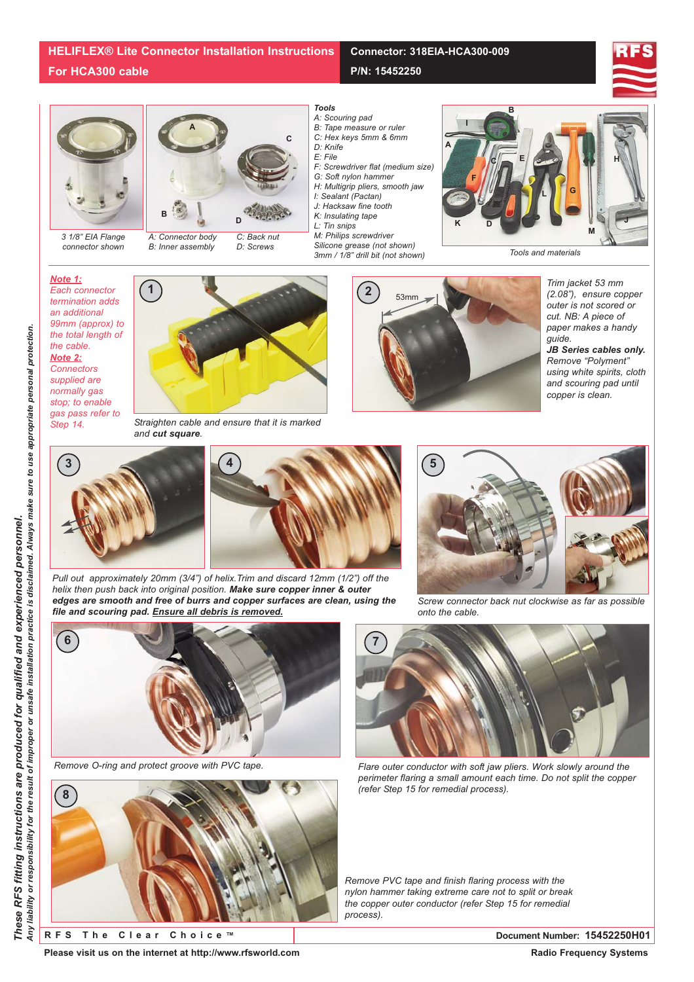## **Connector: 318EIA-HCA300-009**

**P/N: 15452250**





*3 1/8" EIA Flange connector shown*



*A: Connector body B: Inner assembly*

*C: Back nut D: Screws*



- *A: Scouring pad*
- *B: Tape measure or ruler*
- **<sup>A</sup> <sup>C</sup>** *C: Hex keys 5mm & 6mm D: Knife*
	- *E: File*
	- *F: Screwdriver flat (medium size)*
	- *G: Soft nylon hammer*
	- *H: Multigrip pliers, smooth jaw*
	- *I: Sealant (Pactan) J: Hacksaw fine tooth*
	- *K: Insulating tape*
	- *L: Tin snips*
	- *M: Philips screwdriver*
	- *Silicone grease (not shown) 3mm / 1/8" drill bit (not shown)*



*Note 1: Each connector termination adds an additional 99mm (approx) to the total length of the cable. Note 2: Connectors supplied are normally gas stop; to enable gas pass refer to Step 14.*



*Straighten cable and ensure that it is marked and cut square.*



*Trim jacket 53 mm (2.08"), ensure copper outer is not scored or cut. NB: A piece of paper makes a handy guide.* 

*JB Series cables only. Remove "Polyment" using white spirits, cloth and scouring pad until copper is clean.*





*Pull out approximately 20mm (3/4") of helix.Trim and discard 12mm (1/2") off the helix then push back into original position. Make sure copper inner & outer edges are smooth and free of burrs and copper surfaces are clean, using the file and scouring pad. Ensure all debris is removed.*



*Screw connector back nut clockwise as far as possible onto the cable.*

*perimeter flaring a small amount each time. Do not split the copper*



*Remove O-ring and protect groove with PVC tape. Flare outer conductor with soft jaw pliers. Work slowly around the*



**RFS The Clear Choice ™ Document Number: 15452250H01**

*Remove PVC tape and finish flaring process with the nylon hammer taking extreme care not to split or break the copper outer conductor (refer Step 15 for remedial process).*

*(refer Step 15 for remedial process).*